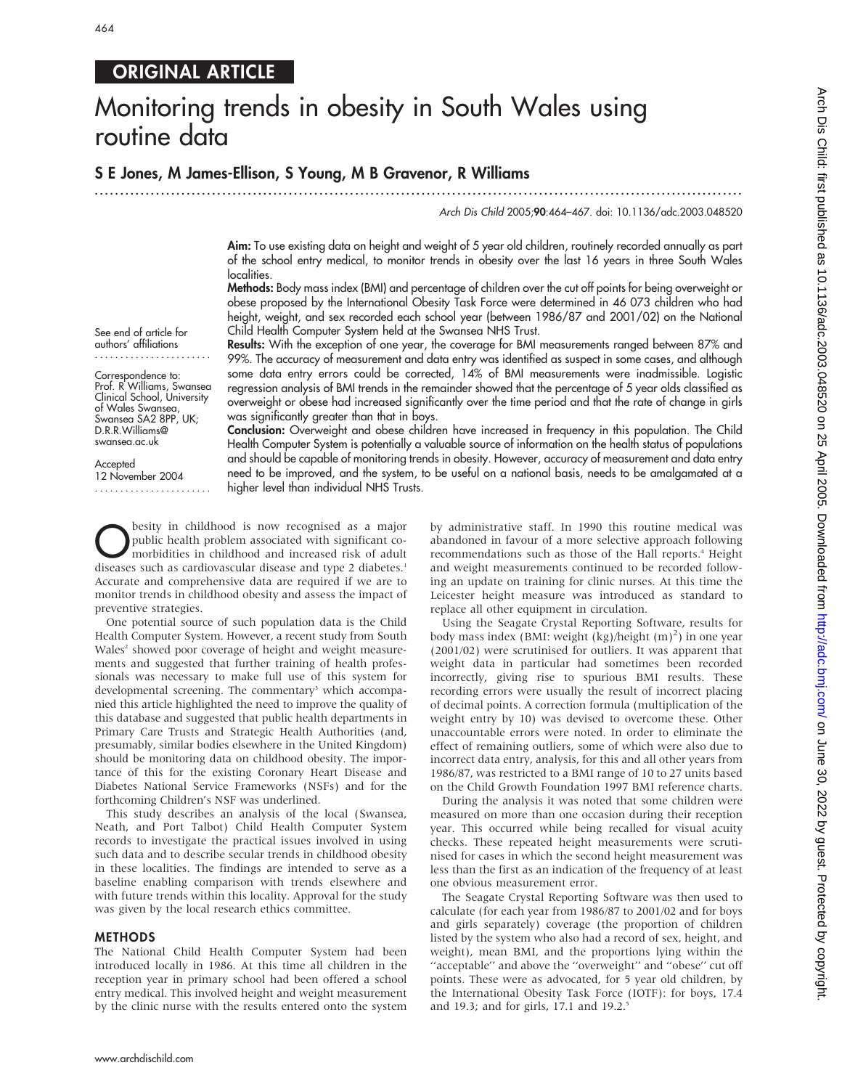# ORIGINAL ARTICLE

# Monitoring trends in obesity in South Wales using routine data

# S E Jones, M James-Ellison, S Young, M B Gravenor, R Williams

...............................................................................................................................

### Arch Dis Child 2005;90:464–467. doi: 10.1136/adc.2003.048520

Aim: To use existing data on height and weight of 5 year old children, routinely recorded annually as part of the school entry medical, to monitor trends in obesity over the last 16 years in three South Wales localities.

Methods: Body mass index (BMI) and percentage of children over the cut off points for being overweight or obese proposed by the International Obesity Task Force were determined in 46 073 children who had height, weight, and sex recorded each school year (between 1986/87 and 2001/02) on the National Child Health Computer System held at the Swansea NHS Trust.

See end of article for authors' affiliations .......................

Correspondence to: Prof. R Williams, Swansea Clinical School, University of Wales Swansea, Swansea SA2 8PP, UK; D.R.R.Williams@ swansea.ac.uk

**Accepted** 12 November 2004 ....................... Results: With the exception of one year, the coverage for BMI measurements ranged between 87% and 99%. The accuracy of measurement and data entry was identified as suspect in some cases, and although some data entry errors could be corrected, 14% of BMI measurements were inadmissible. Logistic regression analysis of BMI trends in the remainder showed that the percentage of 5 year olds classified as overweight or obese had increased significantly over the time period and that the rate of change in girls was significantly greater than that in boys.

Conclusion: Overweight and obese children have increased in frequency in this population. The Child Health Computer System is potentially a valuable source of information on the health status of populations and should be capable of monitoring trends in obesity. However, accuracy of measurement and data entry need to be improved, and the system, to be useful on a national basis, needs to be amalgamated at a higher level than individual NHS Trusts.

**ODEN SERV** in childhood is now recognised as a major<br>public health problem associated with significant co-<br>morbidities in childhood and increased risk of adult<br>diseases such as cardiovascular disease and type 2 dishates public health problem associated with significant comorbidities in childhood and increased risk of adult diseases such as cardiovascular disease and type 2 diabetes.<sup>1</sup> Accurate and comprehensive data are required if we are to monitor trends in childhood obesity and assess the impact of preventive strategies.

One potential source of such population data is the Child Health Computer System. However, a recent study from South Wales<sup>2</sup> showed poor coverage of height and weight measurements and suggested that further training of health professionals was necessary to make full use of this system for developmental screening. The commentary<sup>3</sup> which accompanied this article highlighted the need to improve the quality of this database and suggested that public health departments in Primary Care Trusts and Strategic Health Authorities (and, presumably, similar bodies elsewhere in the United Kingdom) should be monitoring data on childhood obesity. The importance of this for the existing Coronary Heart Disease and Diabetes National Service Frameworks (NSFs) and for the forthcoming Children's NSF was underlined.

This study describes an analysis of the local (Swansea, Neath, and Port Talbot) Child Health Computer System records to investigate the practical issues involved in using such data and to describe secular trends in childhood obesity in these localities. The findings are intended to serve as a baseline enabling comparison with trends elsewhere and with future trends within this locality. Approval for the study was given by the local research ethics committee.

#### METHODS

The National Child Health Computer System had been introduced locally in 1986. At this time all children in the reception year in primary school had been offered a school entry medical. This involved height and weight measurement by the clinic nurse with the results entered onto the system

by administrative staff. In 1990 this routine medical was abandoned in favour of a more selective approach following recommendations such as those of the Hall reports.<sup>4</sup> Height and weight measurements continued to be recorded following an update on training for clinic nurses. At this time the Leicester height measure was introduced as standard to replace all other equipment in circulation.

Using the Seagate Crystal Reporting Software, results for body mass index (BMI: weight (kg)/height (m)<sup>2</sup>) in one year (2001/02) were scrutinised for outliers. It was apparent that weight data in particular had sometimes been recorded incorrectly, giving rise to spurious BMI results. These recording errors were usually the result of incorrect placing of decimal points. A correction formula (multiplication of the weight entry by 10) was devised to overcome these. Other unaccountable errors were noted. In order to eliminate the effect of remaining outliers, some of which were also due to incorrect data entry, analysis, for this and all other years from 1986/87, was restricted to a BMI range of 10 to 27 units based on the Child Growth Foundation 1997 BMI reference charts.

During the analysis it was noted that some children were measured on more than one occasion during their reception year. This occurred while being recalled for visual acuity checks. These repeated height measurements were scrutinised for cases in which the second height measurement was less than the first as an indication of the frequency of at least one obvious measurement error.

The Seagate Crystal Reporting Software was then used to calculate (for each year from 1986/87 to 2001/02 and for boys and girls separately) coverage (the proportion of children listed by the system who also had a record of sex, height, and weight), mean BMI, and the proportions lying within the "acceptable" and above the "overweight" and "obese" cut off points. These were as advocated, for 5 year old children, by the International Obesity Task Force (IOTF): for boys, 17.4 and 19.3; and for girls, 17.1 and 19.2.<sup>5</sup>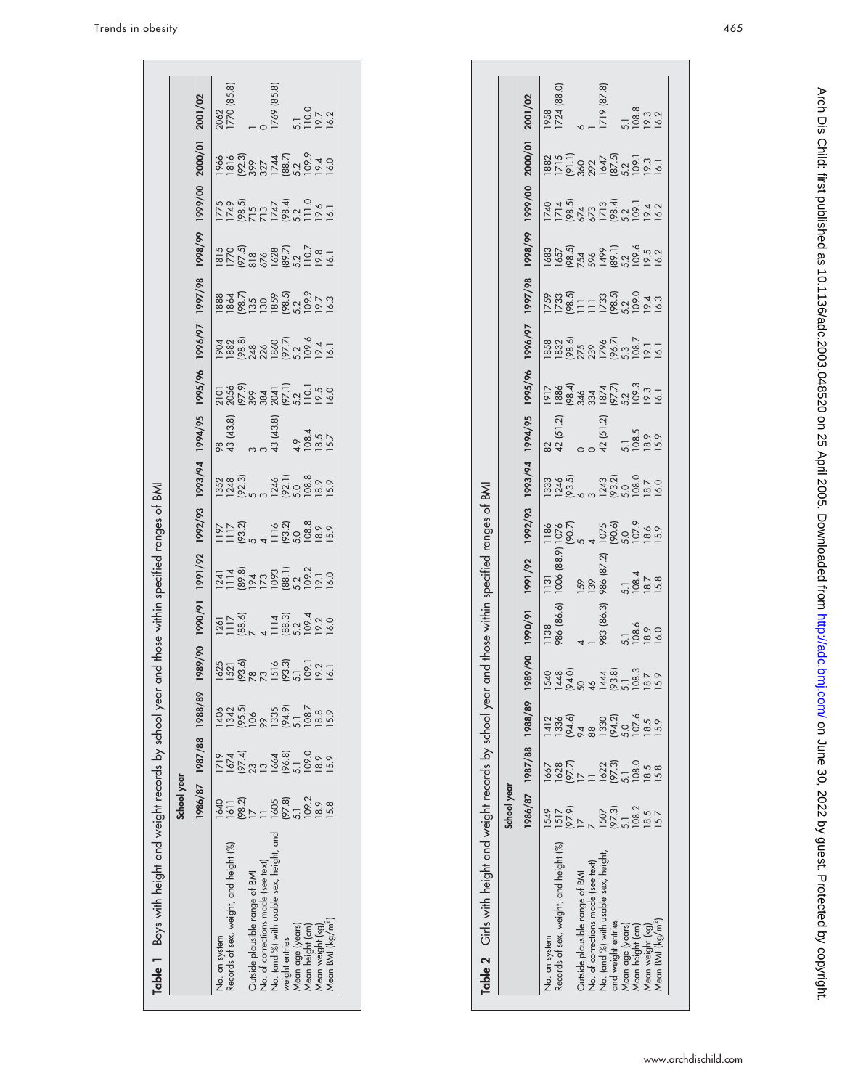| $\begin{array}{l} 1197 \\ 1117 \\ 1132 \\ 93.2 \\ 410 \\ 63.2 \\ 50.08 \\ 98.8 \\ 15.9 \\ 15.9 \\ 15.9 \\ \end{array}$<br>1991/92<br>16/0661 06/6861<br>$\begin{array}{l} 1261 \\ 117 \\ 1180 \\ 1180 \\ 1140 \\ 1140 \\ 1200 \\ 1200 \\ 1200 \\ 1200 \\ 1200 \\ 1200 \\ 1200 \\ 1200 \\ 1200 \\ 1200 \\ 1200 \\ 1200 \\ 1200 \\ 1200 \\ 1200 \\ 1200 \\ 1200 \\ 1200 \\ 1200 \\ 1200 \\ 1200 \\ 1200 \\ 1200 \\ 1200 \\ 1200 \\ 1200 \\ 1200 \\ 1200 \\ 1200 \\ 120$<br>1625<br>1521 - 1526<br>1636 - 1536 - 1627<br>161 - 1627 - 1637 - 1641 - 1641 - 1641 - 1641 - 1641 - 1641 - 1641 - 1641 - 1641 - 1641 - 1<br>1986/87 1987/88 1988/89<br>$\begin{array}{cc} 1406 \\ 1342 \\ 1345 \\ 95.5 \\ 96.8 \\ 133.9 \\ 134.9 \\ 133.9 \\ 14.0 \\ 15.8 \\ 19.8 \\ 19.8 \\ 19.9 \\ 14.0 \\ 15.9 \\ 16.9 \\ 18.9 \\ 19.9 \\ 19.9 \\ 14.0 \\ 15.9 \\ 16.9 \\ 17.0 \\ 18.0 \\ 19.0 \\ 19.0 \\ 19.0 \\ 19.0 \\ 19.0 \\ 19.0 \\ 19.0 \\ 19.0 \\ 19.0 \\ 19.0 \\ 19.0 \\$<br>$\begin{array}{r} 1674 \\ 167.4 \\ 23.3 \\ 1264 \\ 1668 \\ 167.0 \\ 168.0 \\ 169.0 \\ 169.0 \\ 159.0 \\ 159.0 \\ 159.0 \\ 159.0 \\ 159.0 \\ 159.0 \\ 159.0 \\ 159.0 \\ 159.0 \\ 159.0 \\ 159.0 \\ 159.0 \\ 159.0 \\ 159.0 \\ 159.0 \\ 159.0 \\ 159.0 \\ 159.0 \\ 159.0 \\ 159.0 \\ 159.0 \\ 159.0 \\$<br>1719<br>School year<br>1611<br>(98.2)<br>17<br>1605<br>(97.8)<br>5.1<br>19.9<br>15.8<br>940<br>$\overline{a}$<br>and |  |  |         |                                   |                                      |                                                                |         |                                                                                                                                                                                                                                                                                                               |                                                                                                                      |                                            |
|-------------------------------------------------------------------------------------------------------------------------------------------------------------------------------------------------------------------------------------------------------------------------------------------------------------------------------------------------------------------------------------------------------------------------------------------------------------------------------------------------------------------------------------------------------------------------------------------------------------------------------------------------------------------------------------------------------------------------------------------------------------------------------------------------------------------------------------------------------------------------------------------------------------------------------------------------------------------------------------------------------------------------------------------------------------------------------------------------------------------------------------------------------------------------------------------------------------------------------------------------------------------------------------------------------------------------------------------------------------------------------------------------|--|--|---------|-----------------------------------|--------------------------------------|----------------------------------------------------------------|---------|---------------------------------------------------------------------------------------------------------------------------------------------------------------------------------------------------------------------------------------------------------------------------------------------------------------|----------------------------------------------------------------------------------------------------------------------|--------------------------------------------|
|                                                                                                                                                                                                                                                                                                                                                                                                                                                                                                                                                                                                                                                                                                                                                                                                                                                                                                                                                                                                                                                                                                                                                                                                                                                                                                                                                                                                 |  |  |         |                                   |                                      |                                                                |         |                                                                                                                                                                                                                                                                                                               |                                                                                                                      |                                            |
| No. on system                                                                                                                                                                                                                                                                                                                                                                                                                                                                                                                                                                                                                                                                                                                                                                                                                                                                                                                                                                                                                                                                                                                                                                                                                                                                                                                                                                                   |  |  | 1992/93 | 1996/0991 99/2991 29/4991 1996/97 |                                      |                                                                | 1997/98 | 1998/99 1999/00                                                                                                                                                                                                                                                                                               | 2000/01                                                                                                              | 2001/02                                    |
| Records of sex, weight, and height (%)                                                                                                                                                                                                                                                                                                                                                                                                                                                                                                                                                                                                                                                                                                                                                                                                                                                                                                                                                                                                                                                                                                                                                                                                                                                                                                                                                          |  |  |         |                                   |                                      |                                                                |         |                                                                                                                                                                                                                                                                                                               |                                                                                                                      |                                            |
| No. (and %) with usable sex, height,<br>Vo. of corrections made (see text)<br>Outside plausible range of BMI                                                                                                                                                                                                                                                                                                                                                                                                                                                                                                                                                                                                                                                                                                                                                                                                                                                                                                                                                                                                                                                                                                                                                                                                                                                                                    |  |  |         |                                   | 98<br>43 (43.8)                      |                                                                |         |                                                                                                                                                                                                                                                                                                               |                                                                                                                      | 2062<br>1770 (85.8)                        |
|                                                                                                                                                                                                                                                                                                                                                                                                                                                                                                                                                                                                                                                                                                                                                                                                                                                                                                                                                                                                                                                                                                                                                                                                                                                                                                                                                                                                 |  |  |         |                                   |                                      |                                                                |         |                                                                                                                                                                                                                                                                                                               |                                                                                                                      |                                            |
|                                                                                                                                                                                                                                                                                                                                                                                                                                                                                                                                                                                                                                                                                                                                                                                                                                                                                                                                                                                                                                                                                                                                                                                                                                                                                                                                                                                                 |  |  |         |                                   |                                      |                                                                |         |                                                                                                                                                                                                                                                                                                               |                                                                                                                      |                                            |
|                                                                                                                                                                                                                                                                                                                                                                                                                                                                                                                                                                                                                                                                                                                                                                                                                                                                                                                                                                                                                                                                                                                                                                                                                                                                                                                                                                                                 |  |  |         |                                   |                                      |                                                                |         |                                                                                                                                                                                                                                                                                                               |                                                                                                                      |                                            |
| weight entries                                                                                                                                                                                                                                                                                                                                                                                                                                                                                                                                                                                                                                                                                                                                                                                                                                                                                                                                                                                                                                                                                                                                                                                                                                                                                                                                                                                  |  |  |         |                                   | $\frac{3}{43}$ (43.8)                |                                                                |         |                                                                                                                                                                                                                                                                                                               |                                                                                                                      | (85.8)<br>1769                             |
| Mean age (years)                                                                                                                                                                                                                                                                                                                                                                                                                                                                                                                                                                                                                                                                                                                                                                                                                                                                                                                                                                                                                                                                                                                                                                                                                                                                                                                                                                                |  |  |         |                                   |                                      | 2101<br>2058, 2058<br>2058, 2058, 2051<br>2051<br>2051<br>2051 |         | $\begin{array}{l} 1775 \\ 1749 \\ 18.5 \\ 18.5 \\ 17.7 \\ 18.7 \\ 19.8 \\ 19.0 \\ 19.0 \\ 19.0 \\ 19.0 \\ 19.0 \\ 19.0 \\ 19.0 \\ 19.0 \\ 19.0 \\ 19.0 \\ 19.0 \\ 19.0 \\ 19.0 \\ 19.0 \\ 19.0 \\ 19.0 \\ 19.0 \\ 19.0 \\ 19.0 \\ 19.0 \\ 19.0 \\ 19.0 \\ 19.0 \\ 19.0 \\ 19.0 \\ 19.0 \\ 19.0 \\ 19.0 \\ 19$ | $1800$<br>$1810$<br>$1810$<br>$1810$<br>$1810$<br>$1810$<br>$1810$<br>$1810$<br>$1810$<br>$1810$<br>$1810$<br>$1810$ |                                            |
| Mean height (cm)                                                                                                                                                                                                                                                                                                                                                                                                                                                                                                                                                                                                                                                                                                                                                                                                                                                                                                                                                                                                                                                                                                                                                                                                                                                                                                                                                                                |  |  |         |                                   |                                      |                                                                |         |                                                                                                                                                                                                                                                                                                               |                                                                                                                      |                                            |
|                                                                                                                                                                                                                                                                                                                                                                                                                                                                                                                                                                                                                                                                                                                                                                                                                                                                                                                                                                                                                                                                                                                                                                                                                                                                                                                                                                                                 |  |  |         |                                   |                                      |                                                                |         |                                                                                                                                                                                                                                                                                                               |                                                                                                                      |                                            |
| Mean weight                                                                                                                                                                                                                                                                                                                                                                                                                                                                                                                                                                                                                                                                                                                                                                                                                                                                                                                                                                                                                                                                                                                                                                                                                                                                                                                                                                                     |  |  |         |                                   | $4.9$<br>$108.4$<br>$18.5$<br>$15.7$ |                                                                |         |                                                                                                                                                                                                                                                                                                               |                                                                                                                      | $\frac{5.1}{110.0}$<br>$\frac{19.7}{16.2}$ |
| Viean BMI (ka/m <sup>-</sup>                                                                                                                                                                                                                                                                                                                                                                                                                                                                                                                                                                                                                                                                                                                                                                                                                                                                                                                                                                                                                                                                                                                                                                                                                                                                                                                                                                    |  |  |         |                                   |                                      |                                                                |         |                                                                                                                                                                                                                                                                                                               |                                                                                                                      |                                            |

| Table 2 Girls with height and weight records by school year and those wit |                       |                                 |                                                                                                                                                                                                                                                                                                                                                                                                                |                                       | ithin specified ranges of BMI                                                                                         |         |         |                                                                                |                                                                                                     |                                                                            |                                                                                                                                                                                                                                                                                                               |                                                                                                                                                                                                                                                                                                     |                                                                                                                                                                                                                                                                                                               |                                                               |                                         |
|---------------------------------------------------------------------------|-----------------------|---------------------------------|----------------------------------------------------------------------------------------------------------------------------------------------------------------------------------------------------------------------------------------------------------------------------------------------------------------------------------------------------------------------------------------------------------------|---------------------------------------|-----------------------------------------------------------------------------------------------------------------------|---------|---------|--------------------------------------------------------------------------------|-----------------------------------------------------------------------------------------------------|----------------------------------------------------------------------------|---------------------------------------------------------------------------------------------------------------------------------------------------------------------------------------------------------------------------------------------------------------------------------------------------------------|-----------------------------------------------------------------------------------------------------------------------------------------------------------------------------------------------------------------------------------------------------------------------------------------------------|---------------------------------------------------------------------------------------------------------------------------------------------------------------------------------------------------------------------------------------------------------------------------------------------------------------|---------------------------------------------------------------|-----------------------------------------|
|                                                                           | School year           |                                 |                                                                                                                                                                                                                                                                                                                                                                                                                |                                       |                                                                                                                       |         |         |                                                                                |                                                                                                     |                                                                            |                                                                                                                                                                                                                                                                                                               |                                                                                                                                                                                                                                                                                                     |                                                                                                                                                                                                                                                                                                               |                                                               |                                         |
|                                                                           |                       | 1986/87 1987/88 1988/89 1989/90 |                                                                                                                                                                                                                                                                                                                                                                                                                | 16/0661                               | 1991/92                                                                                                               | 1992/93 | 1993/94 | 1994/95                                                                        | 1995/96                                                                                             | 1996/97                                                                    | 1997/98                                                                                                                                                                                                                                                                                                       | 1998/99                                                                                                                                                                                                                                                                                             | 1999/00                                                                                                                                                                                                                                                                                                       | 2000/01                                                       | 2001/02                                 |
| No. on system                                                             | 549                   | 1667                            |                                                                                                                                                                                                                                                                                                                                                                                                                | 138                                   |                                                                                                                       |         |         |                                                                                |                                                                                                     |                                                                            |                                                                                                                                                                                                                                                                                                               |                                                                                                                                                                                                                                                                                                     |                                                                                                                                                                                                                                                                                                               |                                                               |                                         |
| Records of sex, weight, and height (%)                                    | 1517                  |                                 |                                                                                                                                                                                                                                                                                                                                                                                                                | 986 (86.6)                            |                                                                                                                       |         |         | 42 (51.2)                                                                      |                                                                                                     |                                                                            |                                                                                                                                                                                                                                                                                                               |                                                                                                                                                                                                                                                                                                     |                                                                                                                                                                                                                                                                                                               |                                                               | 1958<br>1724 (88.0)                     |
|                                                                           |                       | $1628$<br>$97.7$<br>$-1$        |                                                                                                                                                                                                                                                                                                                                                                                                                |                                       |                                                                                                                       |         |         |                                                                                |                                                                                                     |                                                                            |                                                                                                                                                                                                                                                                                                               |                                                                                                                                                                                                                                                                                                     |                                                                                                                                                                                                                                                                                                               |                                                               |                                         |
| Outside plausible range of BMI                                            | (97.9)                |                                 |                                                                                                                                                                                                                                                                                                                                                                                                                |                                       |                                                                                                                       |         |         |                                                                                |                                                                                                     |                                                                            |                                                                                                                                                                                                                                                                                                               |                                                                                                                                                                                                                                                                                                     |                                                                                                                                                                                                                                                                                                               |                                                               |                                         |
| No. of corrections made (see text)                                        |                       |                                 |                                                                                                                                                                                                                                                                                                                                                                                                                |                                       |                                                                                                                       |         |         |                                                                                |                                                                                                     |                                                                            |                                                                                                                                                                                                                                                                                                               |                                                                                                                                                                                                                                                                                                     |                                                                                                                                                                                                                                                                                                               |                                                               |                                         |
|                                                                           |                       |                                 | $\begin{array}{@{}c@{\hspace{1em}}c@{\hspace{1em}}c@{\hspace{1em}}c@{\hspace{1em}}c@{\hspace{1em}}c@{\hspace{1em}}c@{\hspace{1em}}c@{\hspace{1em}}c@{\hspace{1em}}c@{\hspace{1em}}c@{\hspace{1em}}c@{\hspace{1em}}c@{\hspace{1em}}c@{\hspace{1em}}c@{\hspace{1em}}c@{\hspace{1em}}c@{\hspace{1em}}c@{\hspace{1em}}c@{\hspace{1em}}c@{\hspace{1em}}c@{\hspace{1em}}c@{\hspace{1em}}c@{\hspace{1em}}c@{\hspace{$ | 983 (86.3)                            | 1131 1186<br>1006 (88.9) 1076<br>1006 (89.7) 1076<br>139<br>139 1075<br>5.0<br>5.87 107.9<br>13.87 13.9<br>13.87 13.9 |         |         | $\begin{array}{c} 2 \\ 42 \\ 5.1 \\ 108.5 \\ 18.9 \\ 18.9 \\ 15.9 \end{array}$ | $1512$<br>$1883$<br>$1883$<br>$1872$<br>$157$<br>$157$<br>$157$<br>$157$<br>$157$<br>$157$<br>$157$ | 1858<br>1832 5<br>1832 538 530 531<br>1932 532 532 534<br>1941 532 532 543 | $\begin{array}{l} 1759 \\ 1733 \\ 1831 \\ 1841 \\ 1733 \\ 1851 \\ 1833 \\ 1963 \\ 1963 \\ 1963 \\ 1963 \\ 1963 \\ 1963 \\ 1963 \\ 1963 \\ 1963 \\ 1963 \\ 1963 \\ 1963 \\ 1963 \\ 1963 \\ 1963 \\ 1963 \\ 1963 \\ 1963 \\ 1963 \\ 1963 \\ 1963 \\ 1963 \\ 1963 \\ 1963 \\ 1963 \\ 1963 \\ 1963 \\ 1963 \\ 19$ | $\begin{array}{l} 1683 \\ 1657 \\ 168.5 \\ 188.4 \\ 1498 \\ 169.1 \\ 169.1 \\ 169.1 \\ 169.1 \\ 162.1 \\ 163.2 \\ 164.2 \\ 165.2 \\ 166.2 \\ 168.2 \\ 168.2 \\ 169.2 \\ 169.2 \\ 169.2 \\ 160.2 \\ 160.2 \\ 160.2 \\ 160.2 \\ 160.2 \\ 160.2 \\ 160.2 \\ 160.2 \\ 160.2 \\ 160.2 \\ 160.2 \\ 160.2$ | $\begin{array}{l} 1740 \\ 1714 \\ 0.83 \\ 0.73 \\ 0.73 \\ 0.73 \\ 0.83 \\ 0.09 \\ 0.09 \\ 0.09 \\ 0.09 \\ 0.09 \\ 0.09 \\ 0.09 \\ 0.09 \\ 0.09 \\ 0.09 \\ 0.09 \\ 0.09 \\ 0.09 \\ 0.09 \\ 0.03 \\ 0.03 \\ 0.03 \\ 0.03 \\ 0.03 \\ 0.03 \\ 0.03 \\ 0.03 \\ 0.03 \\ 0.03 \\ 0.03 \\ 0.03 \\ 0.03 \\ 0.03 \\ 0.$ | 1882<br> 715<br> 91.1 <br> 62,5 <br> 62,5 <br> 62,1 <br> 62,1 | 1719 (87.8)                             |
| No. (and %) with usable sex, height,<br>and weight entries                | 1507<br>(97.3)<br>5.1 | $\frac{1622}{97.3}$             |                                                                                                                                                                                                                                                                                                                                                                                                                |                                       |                                                                                                                       |         |         |                                                                                |                                                                                                     |                                                                            |                                                                                                                                                                                                                                                                                                               |                                                                                                                                                                                                                                                                                                     |                                                                                                                                                                                                                                                                                                               |                                                               |                                         |
| Mean age (years)                                                          |                       |                                 |                                                                                                                                                                                                                                                                                                                                                                                                                |                                       |                                                                                                                       |         |         |                                                                                |                                                                                                     |                                                                            |                                                                                                                                                                                                                                                                                                               |                                                                                                                                                                                                                                                                                                     |                                                                                                                                                                                                                                                                                                               |                                                               |                                         |
| Mean height (cm)                                                          | 108.2                 | $\frac{108.0}{18.5}$            |                                                                                                                                                                                                                                                                                                                                                                                                                | $\frac{51}{1080}$<br>$\frac{80}{100}$ |                                                                                                                       |         |         |                                                                                |                                                                                                     |                                                                            |                                                                                                                                                                                                                                                                                                               |                                                                                                                                                                                                                                                                                                     |                                                                                                                                                                                                                                                                                                               |                                                               | $\frac{51}{108.3}$<br>$\frac{83}{16.2}$ |
| Mean weight [kg]                                                          | 18.5                  |                                 |                                                                                                                                                                                                                                                                                                                                                                                                                |                                       |                                                                                                                       |         |         |                                                                                |                                                                                                     |                                                                            |                                                                                                                                                                                                                                                                                                               |                                                                                                                                                                                                                                                                                                     |                                                                                                                                                                                                                                                                                                               |                                                               |                                         |
| Mean BMI (kg/m <sup>2</sup> )                                             | 5.7                   | 5.8                             |                                                                                                                                                                                                                                                                                                                                                                                                                |                                       |                                                                                                                       |         |         |                                                                                |                                                                                                     |                                                                            |                                                                                                                                                                                                                                                                                                               |                                                                                                                                                                                                                                                                                                     |                                                                                                                                                                                                                                                                                                               |                                                               |                                         |
|                                                                           |                       |                                 |                                                                                                                                                                                                                                                                                                                                                                                                                |                                       |                                                                                                                       |         |         |                                                                                |                                                                                                     |                                                                            |                                                                                                                                                                                                                                                                                                               |                                                                                                                                                                                                                                                                                                     |                                                                                                                                                                                                                                                                                                               |                                                               |                                         |

## Trends in obesity 465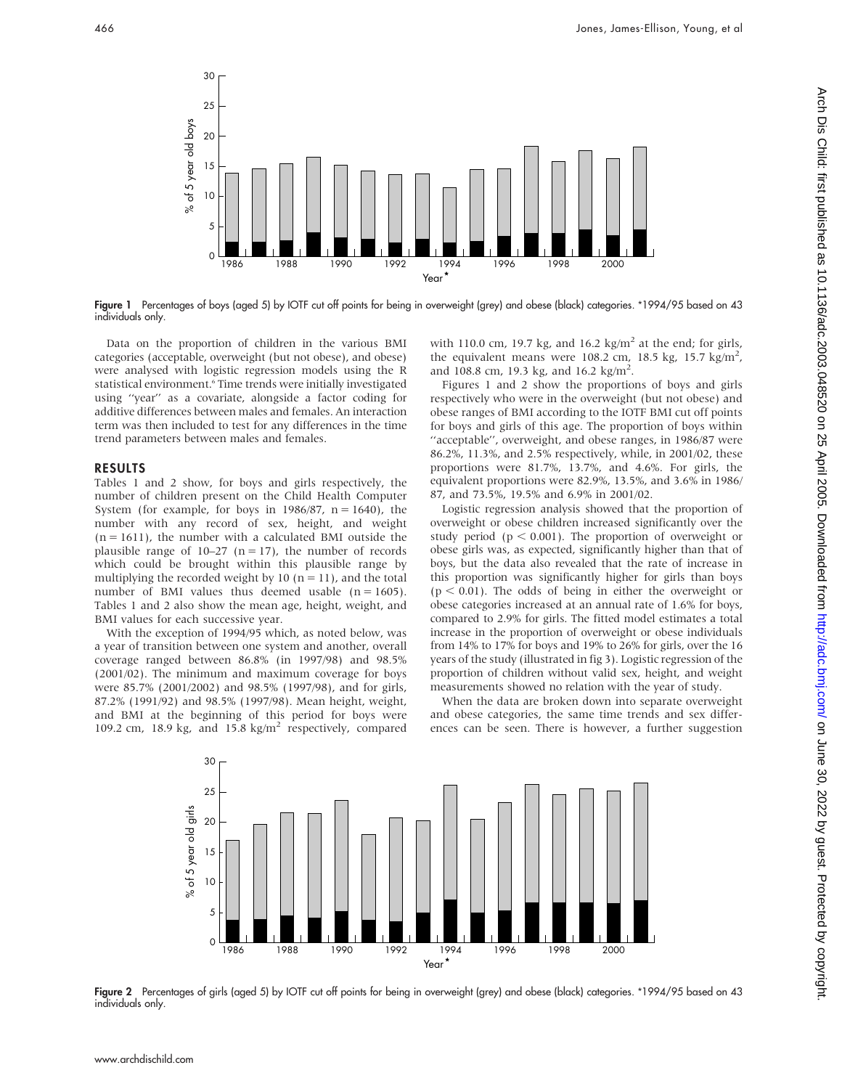

Figure 1 Percentages of boys (aged 5) by IOTF cut off points for being in overweight (grey) and obese (black) categories. \*1994/95 based on 43 individuals only.

Data on the proportion of children in the various BMI categories (acceptable, overweight (but not obese), and obese) were analysed with logistic regression models using the R statistical environment.<sup>6</sup> Time trends were initially investigated using ''year'' as a covariate, alongside a factor coding for additive differences between males and females. An interaction term was then included to test for any differences in the time trend parameters between males and females.

#### RESULTS

Tables 1 and 2 show, for boys and girls respectively, the number of children present on the Child Health Computer System (for example, for boys in  $1986/87$ , n = 1640), the number with any record of sex, height, and weight  $(n = 1611)$ , the number with a calculated BMI outside the plausible range of  $10-27$  (n = 17), the number of records which could be brought within this plausible range by multiplying the recorded weight by 10 ( $n = 11$ ), and the total number of BMI values thus deemed usable  $(n = 1605)$ . Tables 1 and 2 also show the mean age, height, weight, and BMI values for each successive year.

With the exception of 1994/95 which, as noted below, was a year of transition between one system and another, overall coverage ranged between 86.8% (in 1997/98) and 98.5% (2001/02). The minimum and maximum coverage for boys were 85.7% (2001/2002) and 98.5% (1997/98), and for girls, 87.2% (1991/92) and 98.5% (1997/98). Mean height, weight, and BMI at the beginning of this period for boys were 109.2 cm, 18.9 kg, and 15.8 kg/m<sup>2</sup> respectively, compared

with 110.0 cm, 19.7 kg, and 16.2 kg/m<sup>2</sup> at the end; for girls, the equivalent means were 108.2 cm, 18.5 kg, 15.7 kg/m<sup>2</sup>, and  $108.8$  cm, 19.3 kg, and 16.2 kg/m<sup>2</sup>.

Figures 1 and 2 show the proportions of boys and girls respectively who were in the overweight (but not obese) and obese ranges of BMI according to the IOTF BMI cut off points for boys and girls of this age. The proportion of boys within "acceptable", overweight, and obese ranges, in 1986/87 were 86.2%, 11.3%, and 2.5% respectively, while, in 2001/02, these proportions were 81.7%, 13.7%, and 4.6%. For girls, the equivalent proportions were 82.9%, 13.5%, and 3.6% in 1986/ 87, and 73.5%, 19.5% and 6.9% in 2001/02.

Logistic regression analysis showed that the proportion of overweight or obese children increased significantly over the study period ( $p < 0.001$ ). The proportion of overweight or obese girls was, as expected, significantly higher than that of boys, but the data also revealed that the rate of increase in this proportion was significantly higher for girls than boys  $(p < 0.01)$ . The odds of being in either the overweight or obese categories increased at an annual rate of 1.6% for boys, compared to 2.9% for girls. The fitted model estimates a total increase in the proportion of overweight or obese individuals from 14% to 17% for boys and 19% to 26% for girls, over the 16 years of the study (illustrated in fig 3). Logistic regression of the proportion of children without valid sex, height, and weight measurements showed no relation with the year of study.

When the data are broken down into separate overweight and obese categories, the same time trends and sex differences can be seen. There is however, a further suggestion



Figure 2 Percentages of girls (aged 5) by IOTF cut off points for being in overweight (grey) and obese (black) categories. \*1994/95 based on 43 individuals only.